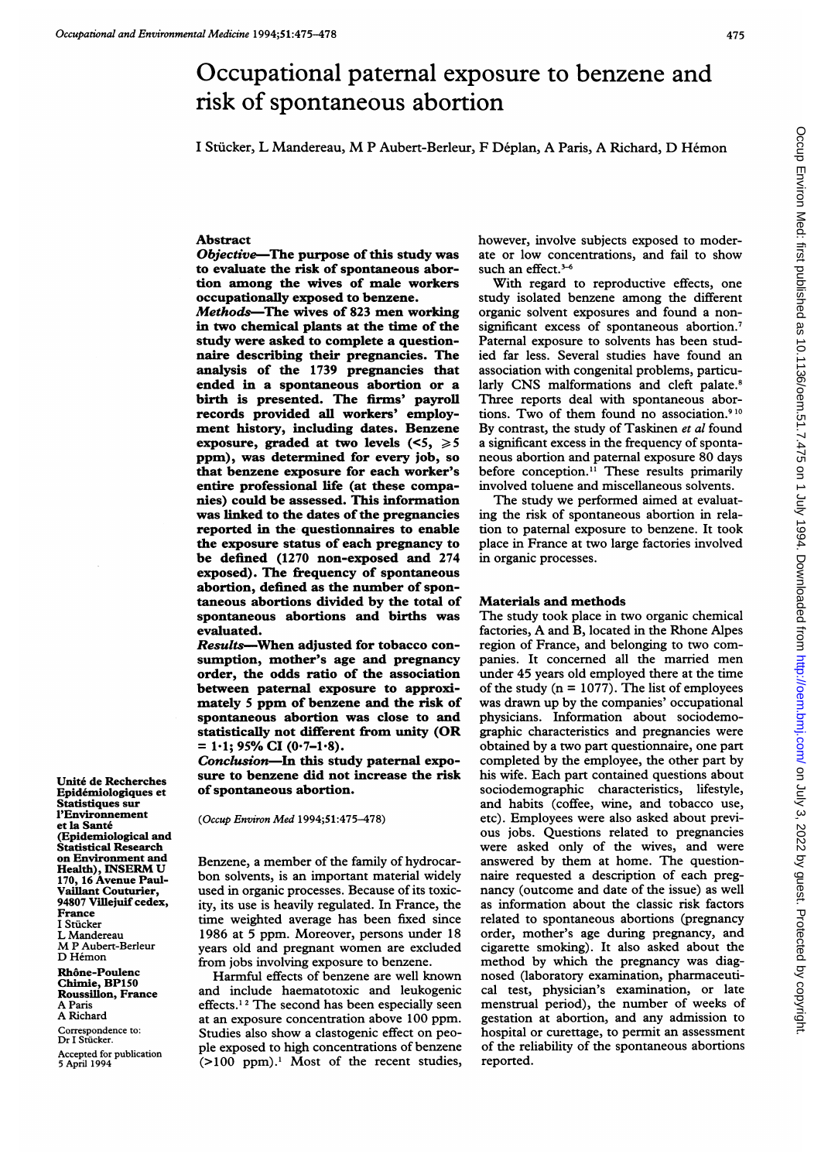I Stücker, L Mandereau, M P Aubert-Berleur, F Déplan, A Paris, A Richard, D Hémon

## Abstract

Objective-The purpose of this study was to evaluate the risk of spontaneous abortion among the wives of male workers occupationally exposed to benzene.

Methods-The wives of 823 men working in two chemical plants at the time of the study were asked to complete a questionnaire describing their pregnancies. The analysis of the 1739 pregnancies that ended in a spontaneous abortion or a birth is presented. The firms' payroll records provided all workers' employment history, including dates. Benzene exposure, graded at two levels  $(5, \ge 5)$ ppm), was determined for every job, so that benzene exposure for each worker's entire professional life (at these companies) could be assessed. This information was linked to the dates of the pregnancies reported in the questionnaires to enable the exposure status of each pregnancy to be defined (1270 non-exposed and 274 exposed). The frequency of spontaneous abortion, defined as the number of spontaneous abortions divided by the total of spontaneous abortions and births was evaluated.

Results-When adjusted for tobacco consumption, mother's age and pregnancy order, the odds ratio of the association between paternal exposure to approximately <sup>5</sup> ppm of benzene and the risk of spontaneous abortion was close to and statistically not different from unity (OR  $= 1.1$ ; 95% CI (0.7-1.8).

Conclusion-In this study paternal exposure to benzene did not increase the risk of spontaneous abortion.

(Occup Environ Med 1994;51:475-478)

Unité de Recherches Epidémiologiques et Statistiques sur l'Environnement et la Sante

(Epidemiological and Statistical Research on Environment and Health), INSERM U 170, 16 Avenue Paul-Vaillant Couturier, 94807 Villejuif cedex,

France I Sticker L Mandereau M <sup>P</sup> Aubert-Berleur D Hemon Rhône-Poulenc Chimie, BP150 Roussillon, France

A Paris A Richard

Correspondence to: Dr <sup>I</sup> Stucker. Accepted for publication 5 April 1994

Benzene, <sup>a</sup> member of the family of hydrocarbon solvents, is an important material widely used in organic processes. Because of its toxicity, its use is heavily regulated. In France, the time weighted average has been fixed since 1986 at 5 ppm. Moreover, persons under 18 years old and pregnant women are excluded from jobs involving exposure to benzene.

Harmful effects of benzene are well known and include haematotoxic and leukogenic effects.<sup>12</sup> The second has been especially seen at an exposure concentration above 100 ppm. Studies also show a clastogenic effect on people exposed to high concentrations of benzene  $(>100 \text{ ppm})$ .<sup>1</sup> Most of the recent studies,

however, involve subjects exposed to moderate or low concentrations, and fail to show such an effect. $3-6$ 

With regard to reproductive effects, one study isolated benzene among the different organic solvent exposures and found a nonsignificant excess of spontaneous abortion.<sup>7</sup> Paternal exposure to solvents has been studied far less. Several studies have found an association with congenital problems, particularly CNS malformations and cleft palate.<sup>8</sup> Three reports deal with spontaneous abortions. Two of them found no association.<sup>910</sup> By contrast, the study of Taskinen et al found a significant excess in the frequency of spontaneous abortion and paternal exposure 80 days before conception.<sup>11</sup> These results primarily involved toluene and miscellaneous solvents.

The study we performed aimed at evaluating the risk of spontaneous abortion in relation to paternal exposure to benzene. It took place in France at two large factories involved in organic processes.

# Materials and methods

The study took place in two organic chemical factories, A and B, located in the Rhone Alpes region of France, and belonging to two companies. It concerned all the married men under 45 years old employed there at the time of the study ( $n = 1077$ ). The list of employees was drawn up by the companies' occupational physicians. Information about sociodemographic characteristics and pregnancies were obtained by a two part questionnaire, one part completed by the employee, the other part by his wife. Each part contained questions about sociodemographic characteristics, lifestyle, and habits (coffee, wine, and tobacco use, etc). Employees were also asked about previous jobs. Questions related to pregnancies were asked only of the wives, and were answered by them at home. The questionnaire requested a description of each pregnancy (outcome and date of the issue) as well as information about the classic risk factors related to spontaneous abortions (pregnancy order, mother's age during pregnancy, and cigarette smoking). It also asked about the method by which the pregnancy was diagnosed (laboratory examination, pharmaceutical test, physician's examination, or late menstrual period), the number of weeks of gestation at abortion, and any admission to hospital or curettage, to permit an assessment of the reliability of the spontaneous abortions reported.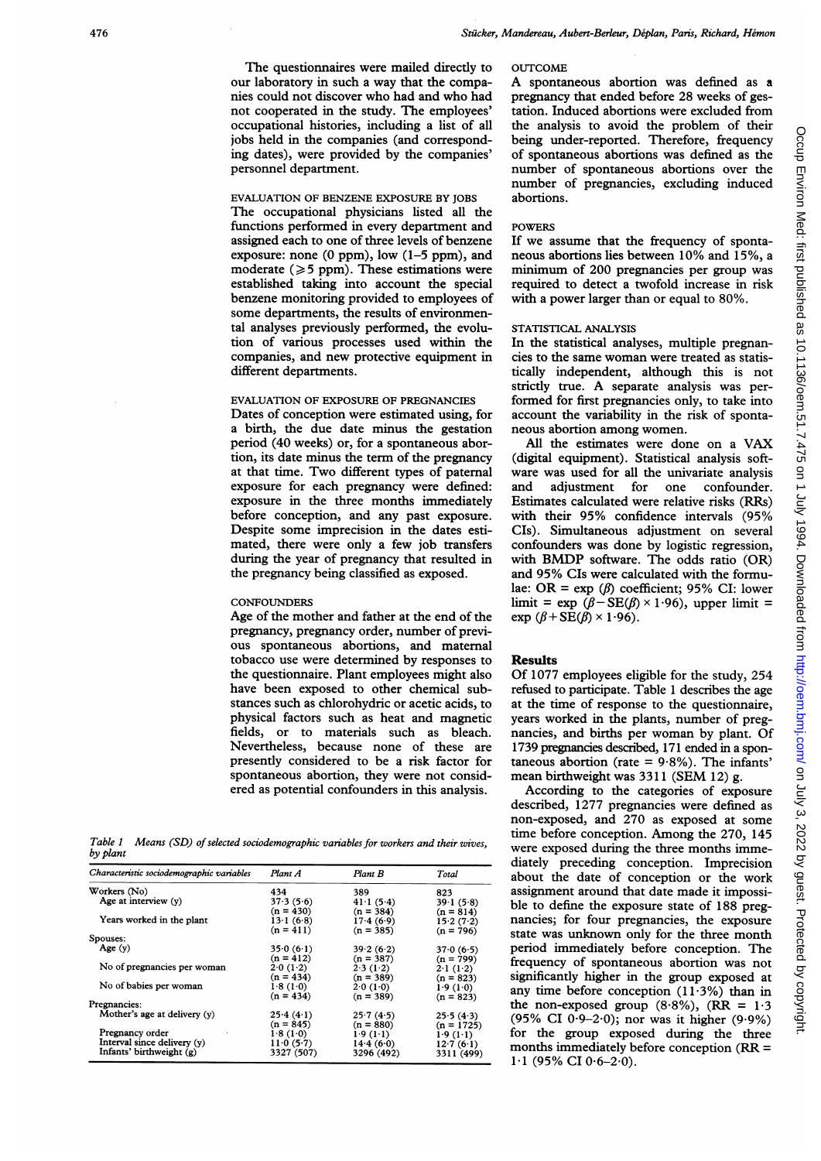The questionnaires were mailed directly to our laboratory in such a way that the companies could not discover who had and who had not cooperated in the study. The employees' occupational histories, including a list of all jobs held in the companies (and corresponding dates), were provided by the companies' personnel department.

## EVALUATION OF BENZENE EXPOSURE BY JOBS

The occupational physicians listed all the functions performed in every department and assigned each to one of three levels of benzene exposure: none (0 ppm), low (1-5 ppm), and moderate  $(\geq 5$  ppm). These estimations were established taking into account the special benzene monitoring provided to employees of some departments, the results of environmental analyses previously performed, the evolution of various processes used within the companies, and new protective equipment in different departments.

# EVALUATION OF EXPOSURE OF PREGNANCIES

Dates of conception were estimated using, for a birth, the due date minus the gestation period (40 weeks) or, for a spontaneous abortion, its date minus the term of the pregnancy at that time. Two different types of paternal exposure for each pregnancy were defined: exposure in the three months immediately before conception, and any past exposure. Despite some imprecision in the dates estimated, there were only a few job transfers during the year of pregnancy that resulted in the pregnancy being classified as exposed.

# **CONFOUNDERS**

Age of the mother and father at the end of the pregnancy, pregnancy order, number of previous spontaneous abortions, and maternal tobacco use were determined by responses to the questionnaire. Plant employees might also have been exposed to other chemical substances such as chlorohydric or acetic acids, to physical factors such as heat and magnetic fields, or to materials such as bleach. Nevertheless, because none of these are presently considered to be a risk factor for spontaneous abortion, they were not considered as potential confounders in this analysis.

Table <sup>1</sup> Means (SD) of selected sociodemographic variables for workers and their wives, by plant

| Characteristic sociodemographic variables | Plant A                  | Plant B     | Total        |
|-------------------------------------------|--------------------------|-------------|--------------|
| Workers (No)                              | 434                      | 389         | 823          |
| Age at interview $(v)$                    | 37.3(5.6)                | 41.1(5.4)   | 39.1(5.8)    |
|                                           | $(n = 430)$              | $(n = 384)$ | $(n = 814)$  |
| Years worked in the plant                 | $13 \cdot 1 (6 \cdot 8)$ | 17.4(6.9)   | 15.2(7.2)    |
|                                           | $(n = 411)$              | $(n = 385)$ | $(n = 796)$  |
| Spouses:                                  |                          |             |              |
| Age $(y)$                                 | 35.0(6.1)                | 39.2(6.2)   | 37.0(6.5)    |
|                                           | $(n = 412)$              | $(n = 387)$ | $(n = 799)$  |
| No of pregnancies per woman               | 2.0(1.2)                 | 2.3(1.2)    | $21(1-2)$    |
|                                           | $(n = 434)$              | $(n = 389)$ | $(n = 823)$  |
| No of babies per woman                    | 1.8(1.0)                 | 2.0(1.0)    | 1.9(1.0)     |
|                                           | $(n = 434)$              | $(n = 389)$ | $(n = 823)$  |
| Pregnancies:                              |                          |             |              |
| Mother's age at delivery (y)              | 25.4(4.1)                | 25.7(4.5)   | 25.5(4.3)    |
|                                           | $(n = 845)$              | $(n = 880)$ | $(n = 1725)$ |
| Pregnancy order                           | 1.8(1.0)                 | 1.9(1.1)    | 1.9(1.1)     |
| Interval since delivery (y)               | 11.0(5.7)                | 14.4(6.0)   | 12.7(6.1)    |
| Infants' birthweight (g)                  | 3327 (507)               | 3296 (492)  | 3311 (499)   |

# **OUTCOME**

A spontaneous abortion was defined as <sup>a</sup> pregnancy that ended before 28 weeks of gestation. Induced abortions were excluded from the analysis to avoid the problem of their being under-reported. Therefore, frequency of spontaneous abortions was defined as the number of spontaneous abortions over the number of pregnancies, excluding induced abortions.

#### **POWERS**

If we assume that the frequency of spontaneous abortions lies between 10% and 15%, <sup>a</sup> minimum of 200 pregnancies per group was required to detect a twofold increase in risk with a power larger than or equal to 80%.

## STATISTICAL ANALYSIS

In the statistical analyses, multiple pregnancies to the same woman were treated as statistically independent, although this is not strictly true. A separate analysis was performed for first pregnancies only, to take into account the variability in the risk of spontaneous abortion among women.

All the estimates were done on <sup>a</sup> VAX (digital equipment). Statistical analysis software was used for all the univariate analysis and adjustment for one confounder. Estimates calculated were relative risks (RRs) with their 95% confidence intervals (95% CIs). Simultaneous adjustment on several confounders was done by logistic regression, with BMDP software. The odds ratio (OR) and 95% CIs were calculated with the formulae: OR =  $\exp (\beta)$  coefficient; 95% CI: lower limit = exp  $(\beta - SE(\beta) \times 1.96)$ , upper limit =  $\exp (\beta + S\bar{E}(\beta) \times 1.96)$ .

# Results

Of 1077 employees eligible for the study, 254 refused to participate. Table <sup>1</sup> describes the age at the time of response to the questionnaire, years worked in the plants, number of pregnancies, and births per woman by plant. Of 1739 pregnancies described, 171 ended in a spontaneous abortion (rate  $= 9.8\%$ ). The infants' mean birthweight was 3311 (SEM 12) g.

According to the categories of exposure described, 1277 pregnancies were defined as non-exposed, and 270 as exposed at some time before conception. Among the 270, 145 were exposed during the three months immediately preceding conception. Imprecision about the date of conception or the work assignment around that date made it impossible to define the exposure state of 188 pregnancies; for four pregnancies, the exposure state was unknown only for the three month period immediately before conception. The frequency of spontaneous abortion was not significantly higher in the group exposed at any time before conception  $(11.3%)$  than in the non-exposed group  $(8.8\%)$ ,  $(RR = 1.3$ (95% CI  $0.9-2.0$ ); nor was it higher  $(9.9\%)$ for the group exposed during the three months immediately before conception (RR =  $1.1$  (95% CI 0.6-2.0).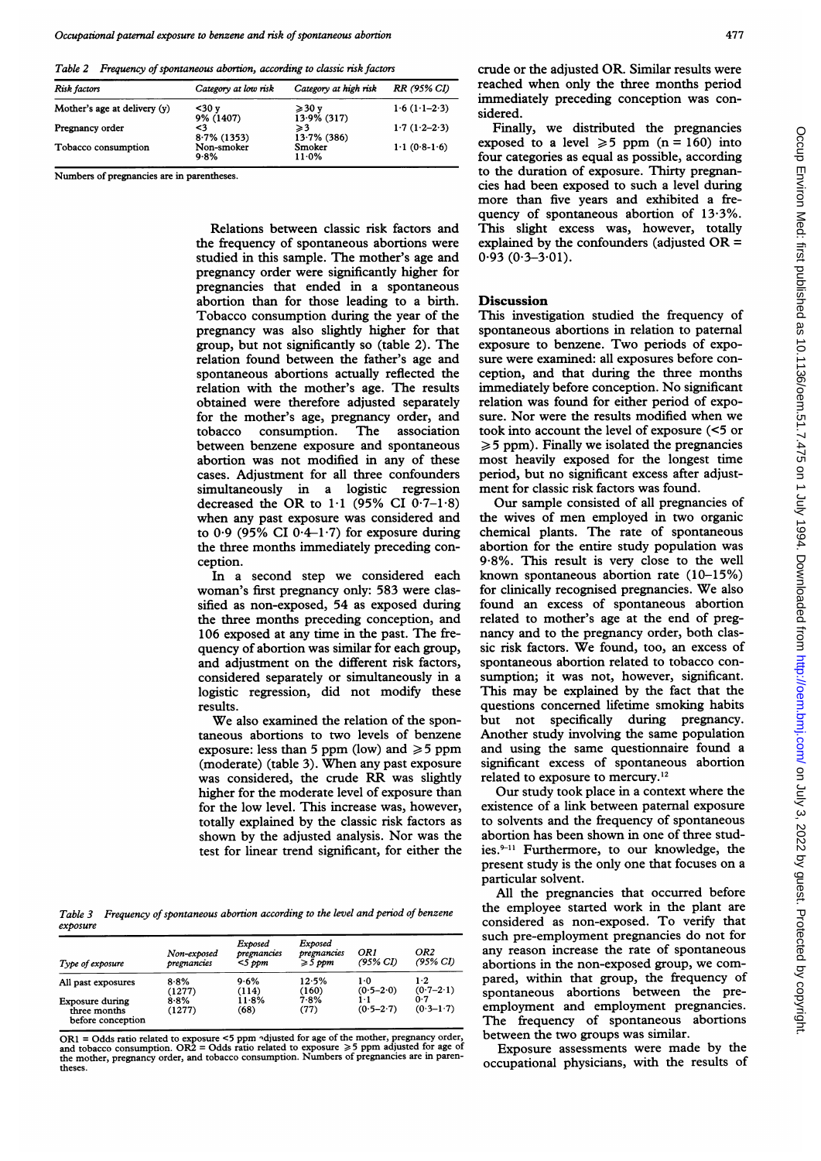Table 2 Frequency of spontaneous abortion, according to classic risk factors

| Risk factors                 | Category at low risk | Category at high risk   | RR (95% CI)    |
|------------------------------|----------------------|-------------------------|----------------|
| Mother's age at delivery (y) | <30 v<br>9% (1407)   | ≥30 v<br>$13.9\%$ (317) | $1.6(1.1-2.3)$ |
| Pregnancy order              | <3<br>$8.7\%$ (1353) | ≥3<br>$13.7\%$ (386)    | $1.7(1.2-2.3)$ |
| Tobacco consumption          | Non-smoker<br>9.8%   | Smoker<br>$11.0\%$      | $1.1(0.8-1.6)$ |

Numbers of pregnancies are in parentheses.

Relations between classic risk factors and the frequency of spontaneous abortions were studied in this sample. The mother's age and pregnancy order were significantly higher for pregnancies that ended in a spontaneous abortion than for those leading to a birth. Tobacco consumption during the year of the pregnancy was also slightly higher for that group, but not significantly so (table 2). The relation found between the father's age and spontaneous abortions actually reflected the relation with the mother's age. The results obtained were therefore adjusted separately for the mother's age, pregnancy order, and tobacco consumption. The association between benzene exposure and spontaneous abortion was not modified in any of these cases. Adjustment for all three confounders simultaneously in a logistic regression decreased the OR to  $1.1$  (95% CI 0.7-1.8) when any past exposure was considered and to  $0.9$  (95% CI  $0.4-1.7$ ) for exposure during the three months immediately preceding conception.

In a second step we considered each woman's first pregnancy only: 583 were classified as non-exposed, 54 as exposed during the three months preceding conception, and 106 exposed at any time in the past. The frequency of abortion was similar for each group, and adjustment on the different risk factors, considered separately or simultaneously in a logistic regression, did not modify these results.

We also examined the relation of the spontaneous abortions to two levels of benzene exposure: less than 5 ppm (low) and  $\geq 5$  ppm (moderate) (table 3). When any past exposure was considered, the crude RR was slightly higher for the moderate level of exposure than for the low level. This increase was, however, totally explained by the classic risk factors as shown by the adjusted analysis. Nor was the test for linear trend significant, for either the

Table 3 Frequency of spontaneous abortion according to the level and period of benzene exposure

| Type of exposure                                     | Non-exposed<br>pregnancies | Exposed<br>pregnancies<br>$<$ 5 ppm | Exposed<br>pregnancies<br>$\geqslant 5$ ppm | OR 1<br>$(95\% \text{ CI})$ | OR <sub>2</sub><br>$(95\% \, \text{CI})$ |
|------------------------------------------------------|----------------------------|-------------------------------------|---------------------------------------------|-----------------------------|------------------------------------------|
| All past exposures                                   | 8.8%<br>(1277)             | 9.6%<br>(114)                       | 12.5%<br>(160)                              | $1-0$<br>$(0.5 - 2.0)$      | 1.2<br>$(0.7-2.1)$                       |
| Exposure during<br>three months<br>before conception | $8.8\%$<br>(1277)          | $11 - 8%$<br>(68)                   | 7.8%<br>(77)                                | $(0.5 - 2.7)$               | 0.7<br>$(0.3 - 1.7)$                     |

OR1 = Odds ratio related to exposure <5 ppm ^djusted for age of the mother, pregnancy order, and tobacco consumption. OR2 = Odds ratio related to exposure ≥5 ppm adjusted for age of<br>the mother, pregnancy order, and tobacc theses.

crude or the adjusted OR. Similar results were reached when only the three months period immediately preceding conception was considered.

Finally, we distributed the pregnancies exposed to a level  $\ge 5$  ppm (n = 160) into four categories as equal as possible, according to the duration of exposure. Thirty pregnancies had been exposed to such a level during more than five years and exhibited a frequency of spontaneous abortion of 13-3%. This slight excess was, however, totally explained by the confounders (adjusted OR =  $0.93$   $(0.3 - 3.01)$ .

## **Discussion**

This investigation studied the frequency of spontaneous abortions in relation to paternal exposure to benzene. Two periods of exposure were examined: all exposures before conception, and that during the three months immediately before conception. No significant relation was found for either period of exposure. Nor were the results modified when we took into account the level of exposure (<5 or  $\geq$  5 ppm). Finally we isolated the pregnancies most heavily exposed for the longest time period, but no significant excess after adjustment for classic risk factors was found.

Our sample consisted of all pregnancies of the wives of men employed in two organic chemical plants. The rate of spontaneous abortion for the entire study population was 9-8%. This result is very close to the well known spontaneous abortion rate (10-15%) for clinically recognised pregnancies. We also found an excess of spontaneous abortion related to mother's age at the end of pregnancy and to the pregnancy order, both classic risk factors. We found, too, an excess of spontaneous abortion related to tobacco consumption; it was not, however, significant. This may be explained by the fact that the questions concerned lifetime smoking habits but not specifically during pregnancy. Another study involving the same population and using the same questionnaire found a significant excess of spontaneous abortion related to exposure to mercury.'2

Our study took place in a context where the existence of a link between paternal exposure to solvents and the frequency of spontaneous abortion has been shown in one of three studies.<sup>9-11</sup> Furthermore, to our knowledge, the present study is the only one that focuses on a particular solvent.

All the pregnancies that occurred before the employee started work in the plant are considered as non-exposed. To verify that such pre-employment pregnancies do not for any reason increase the rate of spontaneous abortions in the non-exposed group, we compared, within that group, the frequency of spontaneous abortions between the preemployment and employment pregnancies. The frequency of spontaneous abortions between the two groups was similar.

Exposure assessments were made by the occupational physicians, with the results of